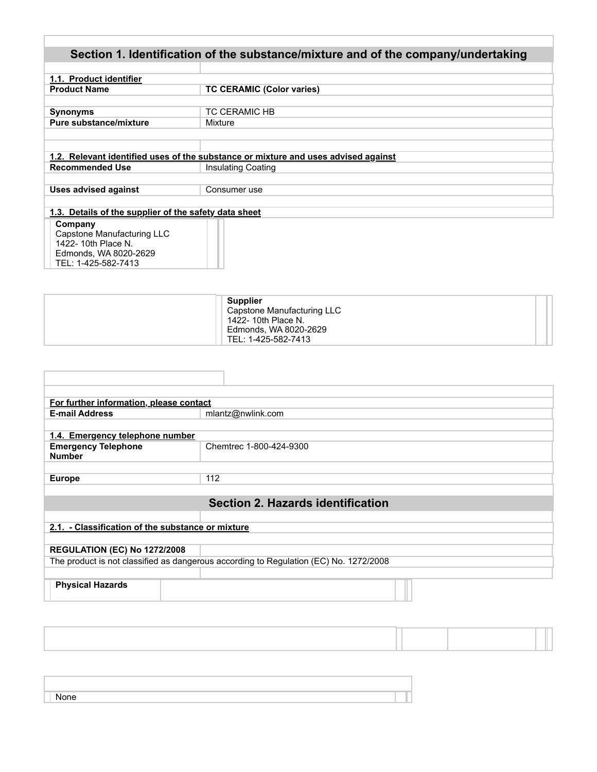| Section 1. Identification of the substance/mixture and of the company/undertaking |                                                                                    |  |  |  |  |
|-----------------------------------------------------------------------------------|------------------------------------------------------------------------------------|--|--|--|--|
|                                                                                   |                                                                                    |  |  |  |  |
| 1.1. Product identifier                                                           |                                                                                    |  |  |  |  |
| <b>Product Name</b>                                                               | <b>TC CERAMIC (Color varies)</b>                                                   |  |  |  |  |
|                                                                                   |                                                                                    |  |  |  |  |
| <b>Synonyms</b>                                                                   | <b>TC CERAMIC HB</b>                                                               |  |  |  |  |
| Pure substance/mixture                                                            | Mixture                                                                            |  |  |  |  |
|                                                                                   |                                                                                    |  |  |  |  |
|                                                                                   |                                                                                    |  |  |  |  |
|                                                                                   | 1.2. Relevant identified uses of the substance or mixture and uses advised against |  |  |  |  |
| <b>Recommended Use</b>                                                            | <b>Insulating Coating</b>                                                          |  |  |  |  |
|                                                                                   |                                                                                    |  |  |  |  |
| <b>Uses advised against</b>                                                       | Consumer use                                                                       |  |  |  |  |
|                                                                                   |                                                                                    |  |  |  |  |
| 1.3. Details of the supplier of the safety data sheet                             |                                                                                    |  |  |  |  |
| Company                                                                           |                                                                                    |  |  |  |  |
| Capstone Manufacturing LLC                                                        |                                                                                    |  |  |  |  |
| 1422-10th Place N.                                                                |                                                                                    |  |  |  |  |
| Edmonds, WA 8020-2629                                                             |                                                                                    |  |  |  |  |
| TEL: 1-425-582-7413                                                               |                                                                                    |  |  |  |  |

Г

|  | Supplier<br>Capstone Manufacturing LLC<br>1422-10th Place N.<br>Edmonds, WA 8020-2629<br>TEL: 1-425-582-7413 |  |
|--|--------------------------------------------------------------------------------------------------------------|--|
|--|--------------------------------------------------------------------------------------------------------------|--|

| For further information, please contact           |                                                                                       |  |  |  |
|---------------------------------------------------|---------------------------------------------------------------------------------------|--|--|--|
| <b>E-mail Address</b>                             | mlantz@nwlink.com                                                                     |  |  |  |
|                                                   |                                                                                       |  |  |  |
| 1.4. Emergency telephone number                   |                                                                                       |  |  |  |
| <b>Emergency Telephone</b><br><b>Number</b>       | Chemtrec 1-800-424-9300                                                               |  |  |  |
|                                                   |                                                                                       |  |  |  |
| <b>Europe</b>                                     | 112                                                                                   |  |  |  |
|                                                   |                                                                                       |  |  |  |
| Section 2. Hazards identification                 |                                                                                       |  |  |  |
|                                                   |                                                                                       |  |  |  |
|                                                   |                                                                                       |  |  |  |
| 2.1. - Classification of the substance or mixture |                                                                                       |  |  |  |
|                                                   |                                                                                       |  |  |  |
| <b>REGULATION (EC) No 1272/2008</b>               |                                                                                       |  |  |  |
|                                                   |                                                                                       |  |  |  |
|                                                   | The product is not classified as dangerous according to Regulation (EC) No. 1272/2008 |  |  |  |
| <b>Physical Hazards</b>                           |                                                                                       |  |  |  |
|                                                   |                                                                                       |  |  |  |

| anne. |  |
|-------|--|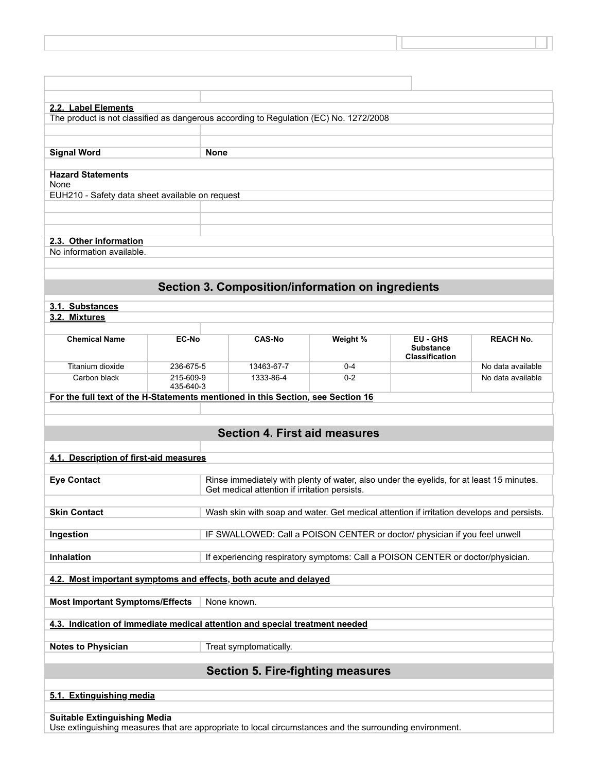| 2.2. Label Elements                                                                                                                            |                                                                                                                                                                 |             |                                                                                           |          |                                                       |                   |
|------------------------------------------------------------------------------------------------------------------------------------------------|-----------------------------------------------------------------------------------------------------------------------------------------------------------------|-------------|-------------------------------------------------------------------------------------------|----------|-------------------------------------------------------|-------------------|
| The product is not classified as dangerous according to Regulation (EC) No. 1272/2008                                                          |                                                                                                                                                                 |             |                                                                                           |          |                                                       |                   |
|                                                                                                                                                |                                                                                                                                                                 |             |                                                                                           |          |                                                       |                   |
|                                                                                                                                                |                                                                                                                                                                 |             |                                                                                           |          |                                                       |                   |
| <b>Signal Word</b>                                                                                                                             |                                                                                                                                                                 | <b>None</b> |                                                                                           |          |                                                       |                   |
| <b>Hazard Statements</b><br>None                                                                                                               |                                                                                                                                                                 |             |                                                                                           |          |                                                       |                   |
| EUH210 - Safety data sheet available on request                                                                                                |                                                                                                                                                                 |             |                                                                                           |          |                                                       |                   |
|                                                                                                                                                |                                                                                                                                                                 |             |                                                                                           |          |                                                       |                   |
|                                                                                                                                                |                                                                                                                                                                 |             |                                                                                           |          |                                                       |                   |
| 2.3. Other information                                                                                                                         |                                                                                                                                                                 |             |                                                                                           |          |                                                       |                   |
| No information available.                                                                                                                      |                                                                                                                                                                 |             |                                                                                           |          |                                                       |                   |
|                                                                                                                                                |                                                                                                                                                                 |             |                                                                                           |          |                                                       |                   |
|                                                                                                                                                |                                                                                                                                                                 |             | Section 3. Composition/information on ingredients                                         |          |                                                       |                   |
| 3.1. Substances                                                                                                                                |                                                                                                                                                                 |             |                                                                                           |          |                                                       |                   |
| 3.2. Mixtures                                                                                                                                  |                                                                                                                                                                 |             |                                                                                           |          |                                                       |                   |
|                                                                                                                                                |                                                                                                                                                                 |             |                                                                                           |          |                                                       |                   |
| <b>Chemical Name</b>                                                                                                                           | EC-No                                                                                                                                                           |             | CAS-No                                                                                    | Weight % | EU - GHS<br><b>Substance</b><br><b>Classification</b> | <b>REACH No.</b>  |
| Titanium dioxide                                                                                                                               | 236-675-5                                                                                                                                                       |             | 13463-67-7                                                                                | $0 - 4$  |                                                       | No data available |
| Carbon black                                                                                                                                   | 215-609-9<br>435-640-3                                                                                                                                          |             | 1333-86-4                                                                                 | $0 - 2$  |                                                       | No data available |
| For the full text of the H-Statements mentioned in this Section, see Section 16                                                                |                                                                                                                                                                 |             |                                                                                           |          |                                                       |                   |
|                                                                                                                                                |                                                                                                                                                                 |             |                                                                                           |          |                                                       |                   |
|                                                                                                                                                |                                                                                                                                                                 |             | <b>Section 4. First aid measures</b>                                                      |          |                                                       |                   |
|                                                                                                                                                |                                                                                                                                                                 |             |                                                                                           |          |                                                       |                   |
| 4.1. Description of first-aid measures                                                                                                         |                                                                                                                                                                 |             |                                                                                           |          |                                                       |                   |
|                                                                                                                                                |                                                                                                                                                                 |             |                                                                                           |          |                                                       |                   |
|                                                                                                                                                | Rinse immediately with plenty of water, also under the eyelids, for at least 15 minutes.<br><b>Eye Contact</b><br>Get medical attention if irritation persists. |             |                                                                                           |          |                                                       |                   |
|                                                                                                                                                |                                                                                                                                                                 |             |                                                                                           |          |                                                       |                   |
| <b>Skin Contact</b>                                                                                                                            |                                                                                                                                                                 |             | Wash skin with soap and water. Get medical attention if irritation develops and persists. |          |                                                       |                   |
| Ingestion                                                                                                                                      |                                                                                                                                                                 |             | IF SWALLOWED: Call a POISON CENTER or doctor/ physician if you feel unwell                |          |                                                       |                   |
|                                                                                                                                                |                                                                                                                                                                 |             |                                                                                           |          |                                                       |                   |
| Inhalation                                                                                                                                     |                                                                                                                                                                 |             | If experiencing respiratory symptoms: Call a POISON CENTER or doctor/physician.           |          |                                                       |                   |
| 4.2. Most important symptoms and effects, both acute and delayed                                                                               |                                                                                                                                                                 |             |                                                                                           |          |                                                       |                   |
|                                                                                                                                                |                                                                                                                                                                 |             |                                                                                           |          |                                                       |                   |
| <b>Most Important Symptoms/Effects</b>                                                                                                         |                                                                                                                                                                 |             | None known.                                                                               |          |                                                       |                   |
| 4.3. Indication of immediate medical attention and special treatment needed                                                                    |                                                                                                                                                                 |             |                                                                                           |          |                                                       |                   |
| <b>Notes to Physician</b>                                                                                                                      |                                                                                                                                                                 |             | Treat symptomatically.                                                                    |          |                                                       |                   |
|                                                                                                                                                |                                                                                                                                                                 |             |                                                                                           |          |                                                       |                   |
|                                                                                                                                                |                                                                                                                                                                 |             | <b>Section 5. Fire-fighting measures</b>                                                  |          |                                                       |                   |
| 5.1. Extinguishing media                                                                                                                       |                                                                                                                                                                 |             |                                                                                           |          |                                                       |                   |
|                                                                                                                                                |                                                                                                                                                                 |             |                                                                                           |          |                                                       |                   |
| <b>Suitable Extinguishing Media</b><br>Use extinguishing measures that are appropriate to local circumstances and the surrounding environment. |                                                                                                                                                                 |             |                                                                                           |          |                                                       |                   |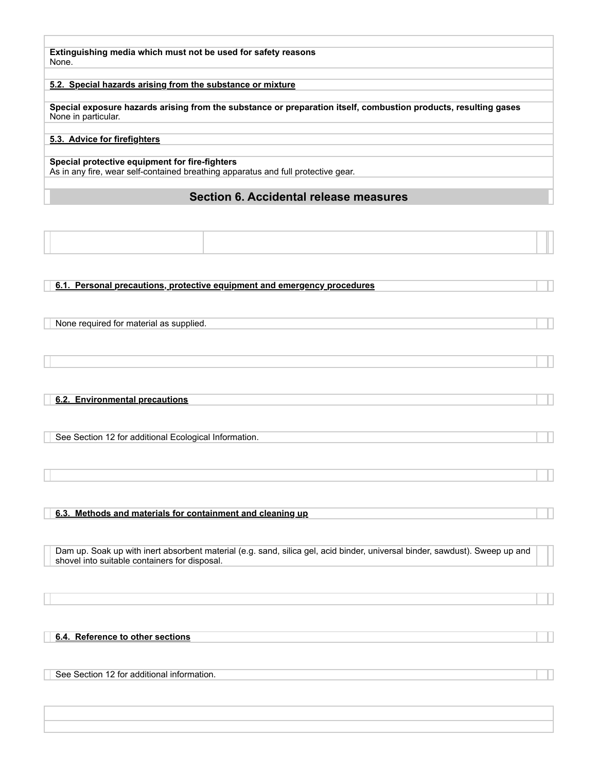**Extinguishing media which must not be used for safety reasons** None.

#### **5.2. Special hazards arising from the substance or mixture**

**Special exposure hazards arising from the substance or preparation itself, combustion products, resulting gases** None in particular.

## **5.3. Advice for firefighters**

#### **Special protective equipment for fire-fighters**

As in any fire, wear self-contained breathing apparatus and full protective gear.

## **Section 6. Accidental release measures**

#### **6.1. Personal precautions, protective equipment and emergency procedures**

None required for material as supplied.

**6.2. Environmental precautions** 

See Section 12 for additional Ecological Information.

#### **6.3. Methods and materials for containment and cleaning up**

Dam up. Soak up with inert absorbent material (e.g. sand, silica gel, acid binder, universal binder, sawdust). Sweep up and shovel into suitable containers for disposal.

#### **6.4. Reference to other sections**

See Section 12 for additional information.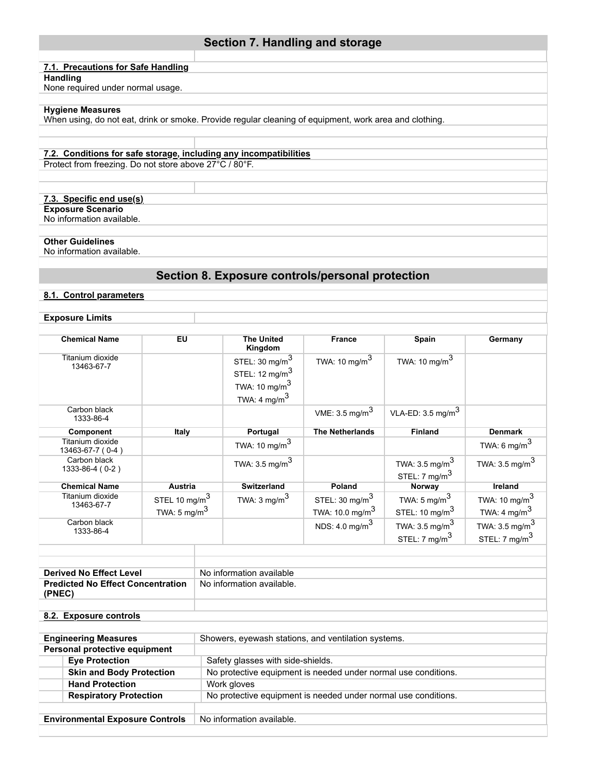# **7.1. Precautions for Safe Handling**

## **Handling**

None required under normal usage.

## **Hygiene Measures**

When using, do not eat, drink or smoke. Provide regular cleaning of equipment, work area and clothing.

## **7.2. Conditions for safe storage, including any incompatibilities**

Protect from freezing. Do not store above 27°C / 80°F.

## **7.3. Specific end use(s)**

**Exposure Scenario** No information available.

## **Other Guidelines**

No information available.

# **Section 8. Exposure controls/personal protection**

**Section 7. Handling and storage** 

## **8.1. Control parameters**

## **Exposure Limits**

| <b>Chemical Name</b>                 | EU                        | <b>The United</b><br>Kingdom | <b>France</b>             | Spain                        | Germany                   |
|--------------------------------------|---------------------------|------------------------------|---------------------------|------------------------------|---------------------------|
| Titanium dioxide<br>13463-67-7       |                           | STEL: $30 \text{ mg/m}^3$    | TWA: 10 mg/m $3$          | TWA: 10 mg/m $^3$            |                           |
|                                      |                           | STEL: $12 \text{ mg/m}^3$    |                           |                              |                           |
|                                      |                           | TWA: 10 mg/m $3$             |                           |                              |                           |
|                                      |                           | TWA: 4 mg/m <sup>3</sup>     |                           |                              |                           |
| Carbon black<br>1333-86-4            |                           |                              | VME: $3.5 \text{ mg/m}^3$ | VLA-ED: $3.5 \text{ mg/m}^3$ |                           |
| <b>Component</b>                     | Italy                     | Portugal                     | <b>The Netherlands</b>    | <b>Finland</b>               | <b>Denmark</b>            |
| Titanium dioxide<br>13463-67-7 (0-4) |                           | TWA: 10 mg/m $^3$            |                           |                              | TWA: 6 mg/m $3$           |
| Carbon black                         |                           | TWA: $3.5 \text{ mg/m}^3$    |                           | TWA: $3.5 \text{ mg/m}^3$    | TWA: $3.5 \text{ mg/m}^3$ |
| 1333-86-4 (0-2)                      |                           |                              |                           | STEL: $7 \text{ mg/m}^3$     |                           |
| <b>Chemical Name</b>                 | Austria                   | <b>Switzerland</b>           | Poland                    | Norway                       | Ireland                   |
| Titanium dioxide<br>13463-67-7       | STEL 10 mg/m <sup>3</sup> | TWA: $3 \text{ mg/m}^3$      | STEL: $30 \text{ mg/m}^3$ | TWA: 5 mg/m $3$              | TWA: 10 mg/m $3$          |
|                                      | TWA: $5 \text{ mg/m}^3$   |                              | TWA: 10.0 mg/m $^3$       | STEL: 10 mg/m <sup>3</sup>   | TWA: 4 mg/m <sup>3</sup>  |
| Carbon black<br>1333-86-4            |                           |                              | NDS: 4.0 mg/m $^3$        | TWA: $3.5 \text{ mg/m}^3$    | TWA: 3.5 mg/m $^3$        |
|                                      |                           |                              |                           | STEL: $7 \text{ mg/m}^3$     | STEL: $7 \text{ mg/m}^3$  |
|                                      |                           |                              |                           |                              |                           |

| <b>Derived No Effect Level</b>           | No information available  |
|------------------------------------------|---------------------------|
| <b>Predicted No Effect Concentration</b> | No information available. |
| (PNEC)                                   |                           |
|                                          |                           |

### **8.2. Exposure controls**

| <b>Engineering Measures</b>            | Showers, eyewash stations, and ventilation systems.            |
|----------------------------------------|----------------------------------------------------------------|
| Personal protective equipment          |                                                                |
| <b>Eye Protection</b>                  | Safety glasses with side-shields.                              |
| <b>Skin and Body Protection</b>        | No protective equipment is needed under normal use conditions. |
| <b>Hand Protection</b>                 | Work gloves                                                    |
| <b>Respiratory Protection</b>          | No protective equipment is needed under normal use conditions. |
|                                        |                                                                |
| <b>Environmental Exposure Controls</b> | No information available.                                      |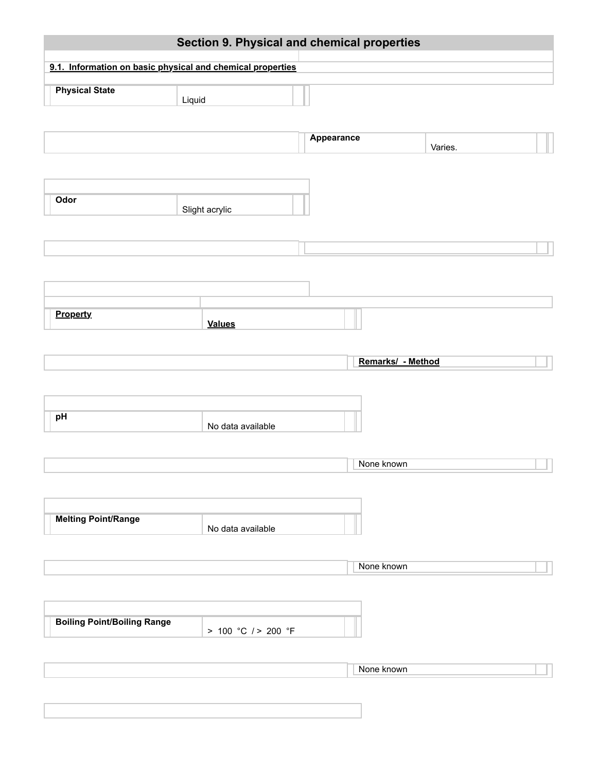|                                                            |                     |            | Section 9. Physical and chemical properties |         |  |
|------------------------------------------------------------|---------------------|------------|---------------------------------------------|---------|--|
| 9.1. Information on basic physical and chemical properties |                     |            |                                             |         |  |
| <b>Physical State</b>                                      | Liquid              |            |                                             |         |  |
|                                                            |                     | Appearance |                                             | Varies. |  |
|                                                            |                     |            |                                             |         |  |
| Odor                                                       | Slight acrylic      |            |                                             |         |  |
|                                                            |                     |            |                                             |         |  |
|                                                            |                     |            |                                             |         |  |
|                                                            |                     |            |                                             |         |  |
| <b>Property</b>                                            | <b>Values</b>       |            |                                             |         |  |
|                                                            |                     |            | Remarks/ - Method                           |         |  |
|                                                            |                     |            |                                             |         |  |
| pH                                                         | No data available   |            |                                             |         |  |
|                                                            |                     |            |                                             |         |  |
|                                                            |                     |            | None known                                  |         |  |
|                                                            |                     |            |                                             |         |  |
| <b>Melting Point/Range</b>                                 | No data available   |            |                                             |         |  |
|                                                            |                     |            | None known                                  |         |  |
|                                                            |                     |            |                                             |         |  |
| <b>Boiling Point/Boiling Range</b>                         | > 100 °C / > 200 °F |            |                                             |         |  |
|                                                            |                     |            |                                             |         |  |
|                                                            |                     |            | None known                                  |         |  |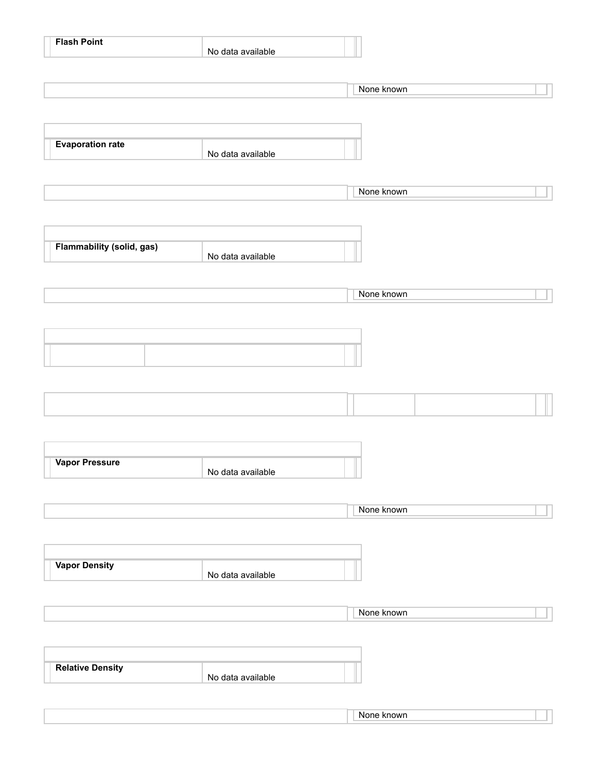| <b>Flash Point</b>        | No data available |            |
|---------------------------|-------------------|------------|
|                           |                   | None known |
|                           |                   |            |
| <b>Evaporation rate</b>   |                   |            |
|                           | No data available |            |
|                           |                   | None known |
|                           |                   |            |
| Flammability (solid, gas) | No data available |            |
|                           |                   |            |
|                           |                   | None known |
|                           |                   |            |
|                           |                   |            |
|                           |                   |            |
|                           |                   |            |
|                           |                   |            |
| Vapor Pressure            | No data available |            |
|                           |                   | None known |
|                           |                   |            |
| <b>Vapor Density</b>      |                   |            |
|                           | No data available |            |
|                           |                   | None known |
|                           |                   |            |
| <b>Relative Density</b>   | No data available |            |
|                           |                   |            |
|                           |                   | None known |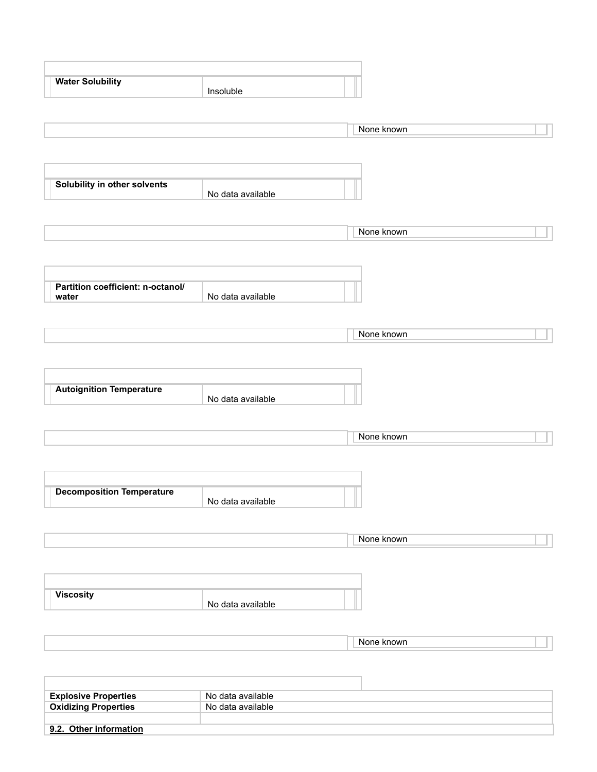| <b>Water Solubility</b>                    | Insoluble         |            |  |
|--------------------------------------------|-------------------|------------|--|
|                                            |                   |            |  |
|                                            |                   |            |  |
|                                            |                   | None known |  |
|                                            |                   |            |  |
|                                            |                   |            |  |
|                                            |                   |            |  |
| Solubility in other solvents               |                   |            |  |
|                                            | No data available |            |  |
|                                            |                   |            |  |
|                                            |                   | None known |  |
|                                            |                   |            |  |
|                                            |                   |            |  |
|                                            |                   |            |  |
|                                            |                   |            |  |
| Partition coefficient: n-octanol/<br>water | No data available |            |  |
|                                            |                   |            |  |
|                                            |                   |            |  |
|                                            |                   | None known |  |
|                                            |                   |            |  |
|                                            |                   |            |  |
|                                            |                   |            |  |
| <b>Autoignition Temperature</b>            |                   |            |  |
|                                            | No data available |            |  |
|                                            |                   |            |  |
|                                            |                   |            |  |
|                                            |                   | None known |  |
|                                            |                   |            |  |
|                                            |                   |            |  |
|                                            |                   |            |  |
| <b>Decomposition Temperature</b>           |                   | т          |  |
|                                            | No data available |            |  |
|                                            |                   |            |  |
|                                            |                   | None known |  |
|                                            |                   |            |  |
|                                            |                   |            |  |
|                                            |                   |            |  |
| <b>Viscosity</b>                           |                   |            |  |
|                                            | No data available |            |  |
|                                            |                   |            |  |
|                                            |                   |            |  |
|                                            |                   | None known |  |
|                                            |                   |            |  |
|                                            |                   |            |  |
|                                            |                   |            |  |
| <b>Explosive Properties</b>                | No data available |            |  |
| <b>Oxidizing Properties</b>                | No data available |            |  |

**9.2. Other information**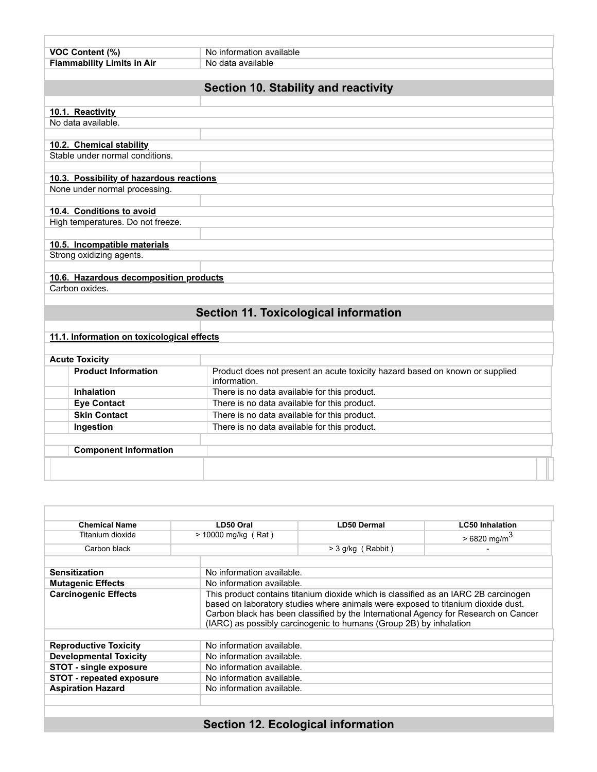| VOC Content (%)                                                           | No information available                                                                     |  |  |
|---------------------------------------------------------------------------|----------------------------------------------------------------------------------------------|--|--|
| <b>Flammability Limits in Air</b>                                         | No data available                                                                            |  |  |
|                                                                           |                                                                                              |  |  |
|                                                                           | Section 10. Stability and reactivity                                                         |  |  |
|                                                                           |                                                                                              |  |  |
| 10.1. Reactivity                                                          |                                                                                              |  |  |
| No data available.                                                        |                                                                                              |  |  |
|                                                                           |                                                                                              |  |  |
| 10.2. Chemical stability<br>Stable under normal conditions.               |                                                                                              |  |  |
|                                                                           |                                                                                              |  |  |
|                                                                           |                                                                                              |  |  |
| 10.3. Possibility of hazardous reactions<br>None under normal processing. |                                                                                              |  |  |
|                                                                           |                                                                                              |  |  |
| 10.4. Conditions to avoid                                                 |                                                                                              |  |  |
| High temperatures. Do not freeze.                                         |                                                                                              |  |  |
|                                                                           |                                                                                              |  |  |
| 10.5. Incompatible materials                                              |                                                                                              |  |  |
| Strong oxidizing agents.                                                  |                                                                                              |  |  |
|                                                                           |                                                                                              |  |  |
| 10.6. Hazardous decomposition products                                    |                                                                                              |  |  |
| Carbon oxides.                                                            |                                                                                              |  |  |
|                                                                           |                                                                                              |  |  |
|                                                                           | <b>Section 11. Toxicological information</b>                                                 |  |  |
|                                                                           |                                                                                              |  |  |
|                                                                           |                                                                                              |  |  |
| 11.1. Information on toxicological effects                                |                                                                                              |  |  |
|                                                                           |                                                                                              |  |  |
| <b>Acute Toxicity</b><br><b>Product Information</b>                       |                                                                                              |  |  |
|                                                                           | Product does not present an acute toxicity hazard based on known or supplied<br>information. |  |  |
| Inhalation                                                                | There is no data available for this product.                                                 |  |  |
| <b>Eye Contact</b>                                                        | There is no data available for this product.                                                 |  |  |
| <b>Skin Contact</b>                                                       | There is no data available for this product.                                                 |  |  |

| Ingestion                    | There is no data available for this product. |  |
|------------------------------|----------------------------------------------|--|
|                              |                                              |  |
| <b>Component Information</b> |                                              |  |
|                              |                                              |  |

| <b>Chemical Name</b>                                          | LD50 Oral                 | <b>LD50 Dermal</b>                                                                                                                                                                                                                                                                                                                   | <b>LC50 Inhalation</b>    |  |
|---------------------------------------------------------------|---------------------------|--------------------------------------------------------------------------------------------------------------------------------------------------------------------------------------------------------------------------------------------------------------------------------------------------------------------------------------|---------------------------|--|
| Titanium dioxide                                              | $> 10000$ mg/kg (Rat)     |                                                                                                                                                                                                                                                                                                                                      | $>6820$ mg/m <sup>3</sup> |  |
| Carbon black                                                  |                           | $>$ 3 g/kg (Rabbit)                                                                                                                                                                                                                                                                                                                  |                           |  |
| <b>Sensitization</b>                                          | No information available. |                                                                                                                                                                                                                                                                                                                                      |                           |  |
| <b>Mutagenic Effects</b>                                      | No information available. |                                                                                                                                                                                                                                                                                                                                      |                           |  |
| <b>Carcinogenic Effects</b>                                   |                           | This product contains titanium dioxide which is classified as an IARC 2B carcinogen<br>based on laboratory studies where animals were exposed to titanium dioxide dust.<br>Carbon black has been classified by the International Agency for Research on Cancer<br>(IARC) as possibly carcinogenic to humans (Group 2B) by inhalation |                           |  |
|                                                               | No information available. |                                                                                                                                                                                                                                                                                                                                      |                           |  |
| <b>Reproductive Toxicity</b><br><b>Developmental Toxicity</b> | No information available. |                                                                                                                                                                                                                                                                                                                                      |                           |  |
| <b>STOT - single exposure</b>                                 | No information available. |                                                                                                                                                                                                                                                                                                                                      |                           |  |
| <b>STOT - repeated exposure</b>                               | No information available. |                                                                                                                                                                                                                                                                                                                                      |                           |  |
| <b>Aspiration Hazard</b>                                      | No information available. |                                                                                                                                                                                                                                                                                                                                      |                           |  |
|                                                               |                           |                                                                                                                                                                                                                                                                                                                                      |                           |  |
|                                                               |                           |                                                                                                                                                                                                                                                                                                                                      |                           |  |

# **Section 12. Ecological information**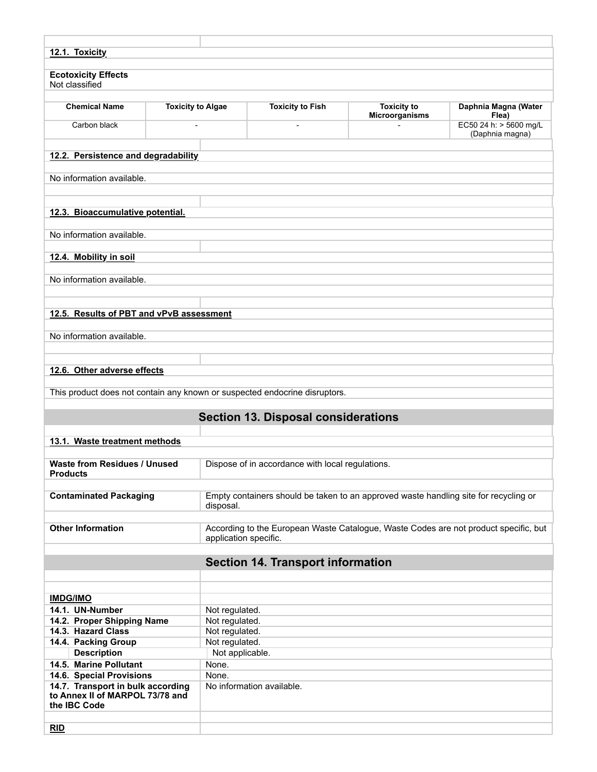| 12.1. Toxicity                                                                       |                          |                                                                                                               |                                                                                      |                                      |                                           |
|--------------------------------------------------------------------------------------|--------------------------|---------------------------------------------------------------------------------------------------------------|--------------------------------------------------------------------------------------|--------------------------------------|-------------------------------------------|
| <b>Ecotoxicity Effects</b><br>Not classified                                         |                          |                                                                                                               |                                                                                      |                                      |                                           |
| <b>Chemical Name</b>                                                                 | <b>Toxicity to Algae</b> |                                                                                                               | <b>Toxicity to Fish</b>                                                              | <b>Toxicity to</b><br>Microorganisms | Daphnia Magna (Water<br>Flea)             |
| Carbon black                                                                         |                          |                                                                                                               | $\overline{a}$                                                                       |                                      | EC50 24 h: > 5600 mg/L<br>(Daphnia magna) |
| 12.2. Persistence and degradability                                                  |                          |                                                                                                               |                                                                                      |                                      |                                           |
| No information available.                                                            |                          |                                                                                                               |                                                                                      |                                      |                                           |
| 12.3. Bioaccumulative potential.                                                     |                          |                                                                                                               |                                                                                      |                                      |                                           |
| No information available.                                                            |                          |                                                                                                               |                                                                                      |                                      |                                           |
| 12.4. Mobility in soil                                                               |                          |                                                                                                               |                                                                                      |                                      |                                           |
| No information available.                                                            |                          |                                                                                                               |                                                                                      |                                      |                                           |
|                                                                                      |                          |                                                                                                               |                                                                                      |                                      |                                           |
| 12.5. Results of PBT and vPvB assessment                                             |                          |                                                                                                               |                                                                                      |                                      |                                           |
| No information available.                                                            |                          |                                                                                                               |                                                                                      |                                      |                                           |
| 12.6. Other adverse effects                                                          |                          |                                                                                                               |                                                                                      |                                      |                                           |
|                                                                                      |                          |                                                                                                               | This product does not contain any known or suspected endocrine disruptors.           |                                      |                                           |
|                                                                                      |                          |                                                                                                               | <b>Section 13. Disposal considerations</b>                                           |                                      |                                           |
| 13.1. Waste treatment methods                                                        |                          |                                                                                                               |                                                                                      |                                      |                                           |
| <b>Waste from Residues / Unused</b>                                                  |                          |                                                                                                               | Dispose of in accordance with local regulations.                                     |                                      |                                           |
| Products                                                                             |                          |                                                                                                               |                                                                                      |                                      |                                           |
| <b>Contaminated Packaging</b>                                                        |                          | disposal.                                                                                                     | Empty containers should be taken to an approved waste handling site for recycling or |                                      |                                           |
| <b>Other Information</b>                                                             |                          | According to the European Waste Catalogue, Waste Codes are not product specific, but<br>application specific. |                                                                                      |                                      |                                           |
|                                                                                      |                          |                                                                                                               | <b>Section 14. Transport information</b>                                             |                                      |                                           |
|                                                                                      |                          |                                                                                                               |                                                                                      |                                      |                                           |
| <b>IMDG/IMO</b>                                                                      |                          |                                                                                                               |                                                                                      |                                      |                                           |
| 14.1. UN-Number                                                                      |                          | Not regulated.                                                                                                |                                                                                      |                                      |                                           |
| 14.2. Proper Shipping Name<br>14.3. Hazard Class                                     |                          | Not regulated.<br>Not regulated.                                                                              |                                                                                      |                                      |                                           |
| 14.4. Packing Group                                                                  |                          | Not regulated.                                                                                                |                                                                                      |                                      |                                           |
| <b>Description</b>                                                                   |                          | Not applicable.                                                                                               |                                                                                      |                                      |                                           |
| 14.5. Marine Pollutant                                                               |                          | None.                                                                                                         |                                                                                      |                                      |                                           |
| 14.6. Special Provisions                                                             |                          | None.                                                                                                         |                                                                                      |                                      |                                           |
| 14.7. Transport in bulk according<br>to Annex II of MARPOL 73/78 and<br>the IBC Code |                          |                                                                                                               | No information available.                                                            |                                      |                                           |
| RID                                                                                  |                          |                                                                                                               |                                                                                      |                                      |                                           |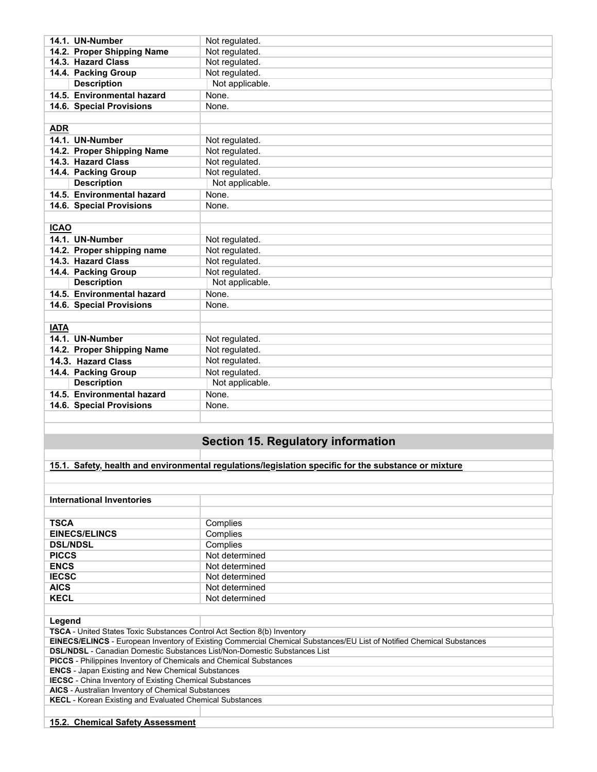| 14.1. UN-Number                                                                                      | Not regulated.                            |  |  |  |
|------------------------------------------------------------------------------------------------------|-------------------------------------------|--|--|--|
| 14.2. Proper Shipping Name                                                                           | Not regulated.                            |  |  |  |
| 14.3. Hazard Class                                                                                   | Not regulated.                            |  |  |  |
| 14.4. Packing Group                                                                                  | Not regulated.                            |  |  |  |
| <b>Description</b>                                                                                   | Not applicable.                           |  |  |  |
| 14.5. Environmental hazard                                                                           | None.                                     |  |  |  |
| 14.6. Special Provisions                                                                             | None.                                     |  |  |  |
|                                                                                                      |                                           |  |  |  |
| <b>ADR</b>                                                                                           |                                           |  |  |  |
| 14.1. UN-Number                                                                                      | Not regulated.                            |  |  |  |
| 14.2. Proper Shipping Name                                                                           | Not regulated.                            |  |  |  |
| 14.3. Hazard Class                                                                                   | Not regulated.                            |  |  |  |
| 14.4. Packing Group                                                                                  | Not regulated.                            |  |  |  |
| <b>Description</b>                                                                                   | Not applicable.                           |  |  |  |
| 14.5. Environmental hazard                                                                           | None.                                     |  |  |  |
| 14.6. Special Provisions                                                                             | None.                                     |  |  |  |
|                                                                                                      |                                           |  |  |  |
| <b>ICAO</b>                                                                                          |                                           |  |  |  |
| 14.1. UN-Number                                                                                      | Not regulated.                            |  |  |  |
| 14.2. Proper shipping name                                                                           | Not regulated.                            |  |  |  |
| 14.3. Hazard Class                                                                                   |                                           |  |  |  |
|                                                                                                      | Not regulated.                            |  |  |  |
| 14.4. Packing Group                                                                                  | Not regulated.                            |  |  |  |
| <b>Description</b>                                                                                   | Not applicable.                           |  |  |  |
| 14.5. Environmental hazard                                                                           | None.                                     |  |  |  |
| 14.6. Special Provisions                                                                             | None.                                     |  |  |  |
|                                                                                                      |                                           |  |  |  |
| <b>IATA</b>                                                                                          |                                           |  |  |  |
| 14.1. UN-Number                                                                                      | Not regulated.                            |  |  |  |
| 14.2. Proper Shipping Name                                                                           | Not regulated.                            |  |  |  |
| 14.3. Hazard Class                                                                                   | Not regulated.                            |  |  |  |
| 14.4. Packing Group                                                                                  | Not regulated.                            |  |  |  |
| <b>Description</b>                                                                                   | Not applicable.                           |  |  |  |
| 14.5. Environmental hazard                                                                           | None.                                     |  |  |  |
| 14.6. Special Provisions                                                                             | None.                                     |  |  |  |
|                                                                                                      |                                           |  |  |  |
|                                                                                                      |                                           |  |  |  |
|                                                                                                      | <b>Section 15. Regulatory information</b> |  |  |  |
|                                                                                                      |                                           |  |  |  |
| 15.1. Safety, health and environmental regulations/legislation specific for the substance or mixture |                                           |  |  |  |
|                                                                                                      |                                           |  |  |  |
|                                                                                                      |                                           |  |  |  |
|                                                                                                      |                                           |  |  |  |
| <b>International Inventories</b>                                                                     |                                           |  |  |  |
|                                                                                                      |                                           |  |  |  |
| <b>TSCA</b>                                                                                          | Complies                                  |  |  |  |
| <b>EINECS/ELINCS</b>                                                                                 | Complies                                  |  |  |  |
| <b>DSL/NDSL</b>                                                                                      | Complies                                  |  |  |  |
| <b>PICCS</b>                                                                                         | Not determined                            |  |  |  |
| <b>ENCS</b>                                                                                          | Not determined                            |  |  |  |
| <b>IECSC</b>                                                                                         | Not determined                            |  |  |  |
| <b>AICS</b>                                                                                          | Not determined                            |  |  |  |
| <b>KECL</b>                                                                                          | Not determined                            |  |  |  |

**Legend** 

**TSCA** - United States Toxic Substances Control Act Section 8(b) Inventory

**EINECS/ELINCS** - European Inventory of Existing Commercial Chemical Substances/EU List of Notified Chemical Substances

**DSL/NDSL** - Canadian Domestic Substances List/Non-Domestic Substances List

**PICCS** - Philippines Inventory of Chemicals and Chemical Substances

**ENCS** - Japan Existing and New Chemical Substances **IECSC** - China Inventory of Existing Chemical Substances

**AICS** - Australian Inventory of Chemical Substances

**KECL** - Korean Existing and Evaluated Chemical Substances

**15.2. Chemical Safety Assessment**